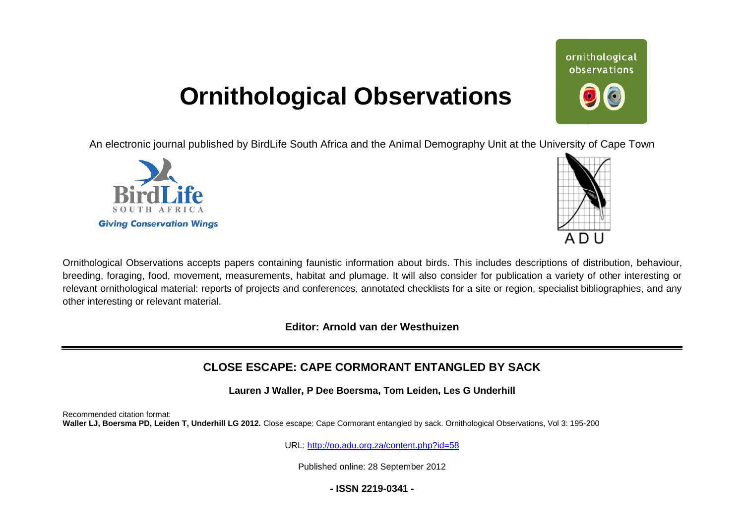# **Ornithological Observations**

An electronic journal published by BirdLife South Africa and the Animal Demography Unit at the University of Cape Town





ornithological observations

Ornithological Observations accepts papers containing faunistic information about birds. This includes descriptions of distribution, behaviour, breeding, foraging, food, movement, measurements, habitat and plumage. It will also consider for publication a variety of other interesting or relevant ornithological material: reports of projects and conferences, annotated checklists for a site or region, specialist bibliographies, and any other interesting or relevant material.

**Editor: Arnold van der Westhuizen**

# **CLOSE ESCAPE: CAPE CORMORANT ENTAN ENTANGLED BY SACK**

**Lauren J Waller, P Dee Boersma, Tom Leiden, Les G Underhill**

Recommended citation format:

Waller LJ, Boersma PD, Leiden T, Underhill LG 2012. Close escape: Cape Cormorant entangled by sack. Ornithological Observations, Vol 3: 195-200

URL: <http://oo.adu.org.za/content.php?id=58>

Published online: 28 September 2012

**- ISSN 2219-0341 -**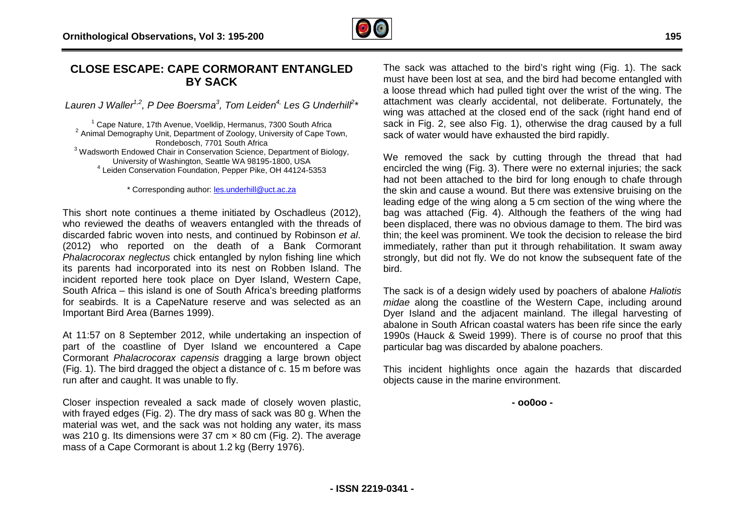

## **CLOSE ESCAPE: CAPE CORMORANT ENTAN ENTANGLED BY SACK**

*Lauren J Waller1,2 , P Dee Boersma<sup>3</sup> , Tom Leiden4, Les G Underhill 2 \**

 Cape Nature, 17th Avenue, Voelklip, Hermanus, 7300 South Africa Animal Demography Unit, Department of Zoology, University of Cape Town, Rondebosch, 7701 South Africa Wadsworth Endowed Chair in Conservation Science, Department of Biology, University of Washington, Seattle WA 98195-1800, USA Leiden Conservation Foundation, Pepper Pike, OH 44124 1800, 44124-5353

\* Corresponding author: [les.underhill@uct.ac.za](mailto:les.underhill@uct.ac.za)

This short note continues a theme initiated by Oschadleus (2012), who reviewed the deaths of weavers entangled with the threads of discarded fabric woven into nests, and continued by Robinson *et al*. (2012) who reported on the death of a Bank Cormorant *Phalacrocorax neglectus* chick entangled by nylon fishing line which its parents had incorporated into its nest on Robben Island. The incident reported here took place on Dyer Island, Western Cape, South Africa – this island is one of South Africa's breeding platforms for seabirds. It is a CapeNature reserve and was selected as an Important Bird Area (Barnes 1999).

At 11:57 on 8 September 2012, while undertaking an inspection of part of the coastline of Dyer Island we encountered a Cape Cormorant *Phalacrocorax capensis* dragging a large brown object (Fig. 1). The bird dragged the object a distance of c. 15 run after and caught. It was unable to fly. re reserve and was selected as an<br>99).<br>2, while undertaking an inspection of<br>rr Island we encountered a Cape<br>ensis dragging a large brown object<br>pject a distance of c. 15 m before was

Closer inspection revealed a sack made of closely woven plastic, with frayed edges (Fig. 2). The dry mass of sack was 80 g. When the material was wet, and the sack was not holding any water, its mass was 210 g. Its dimensions were 37 cm × 80 cm (Fig. 2). The average mass of a Cape Cormorant is about 1.2 kg (Berry 1976).

The sack was attached to the bird's right wing (Fig. 1). The sack must have been lost at sea, and the bird had become entangled with a loose thread which had pulled tight over the wrist of the wing. The attachment was clearly accidental, not deliberate. Fortunately, the wing was attached at the closed end of the sack (right hand end of sack in Fig. 2, see also Fig. 1), otherwise the drag caused by a full sack of water would have exhausted the bird rapidly.

We removed the sack by cutting through the thread that had encircled the wing (Fig. 3). There were no external injuries; the sack had not been attached to the bird for long enough to chafe through the skin and cause a wound. But there was extensive bruising on the leading edge of the wing along a 5 cm section of the wing where the bag was attached (Fig. 4). Although the feathers of the wing had been displaced, there was no obvious damage to them. The bird was thin; the keel was prominent. We took the decision to release the bird immediately, rather than put it through rehabilitation. It swam away strongly, but did not fly. We do not know the subsequent fate of the bird. ned at the closed<br>see also Fig. 1), c<br>buld have exhaust<br>he sack by cutt<br>ng (Fig. 3). There<br>ttached to the bire<br>see a wound. But<br>the wing along a<br>ed (Fig. 4). Altho

The sack is of a design widely used by poachers of abalone *Haliotis midae* along the coastline of the Western Cape, including around Dyer Island and the adjacent mainland. The illegal harvesting of abalone in South African coastal waters has been rife since the early 1990s (Hauck & Sweid 1999). There is of course no proof that this particular bag was discarded by abalone poachers.

This incident highlights once again the hazards that discarded objects cause in the marine environment.

**<sup>-</sup> oo0oo -**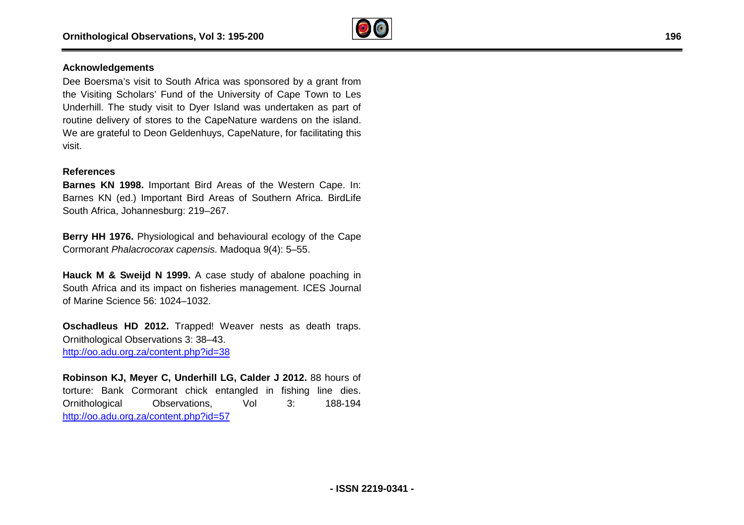

### **Acknowledgements**

Dee Boersma's visit to South Africa was sponsored by a grant from the Visiting Scholars' Fund of the University of Cape Town to Les Underhill. The study visit to Dyer Island was undertaken as part of routine delivery of stores to the CapeNature wardens on the island. We are grateful to Deon Geldenhuys, CapeNature, for facilitating this visit. The study visit to Dyer Island was undertaker<br>
elivery of stores to the CapeNature wardens or<br>
rateful to Deon Geldenhuys, CapeNature, for face<br> **es**<br> **KN 1998.** Important Bird Areas of the Western<br>
N (ed.) Important Bird

#### **References**

**Barnes KN 1998.** Important Bird Areas of the Western Cape. In: Barnes KN (ed.) Important Bird Areas of Southern Africa. BirdLife South Africa, Johannesburg: 219–267.

**Berry HH 1976.** Physiological and behavioural ecology of the Cape Cormorant *Phalacrocorax capensis*. Madoqua 9(4): 5–55.

**Hauck M & Sweijd N 1999.** A case study of abalone poaching in South Africa and its impact on fisheries management. ICES Journal of Marine Science 56: 1024–1032.

**Oschadleus HD 2012.** Trapped! Weaver nests as death traps. Ornithological Observations 3: 38–43. <http://oo.adu.org.za/content.php?id=38>

**Robinson KJ, Meyer C, Underhill LG, Calder J 2012.** 88 hours of torture: Bank Cormorant chick entangled in fishing line dies. Ornithological Observations, Vol 3: <http://oo.adu.org.za/content.php?id=57> 188-194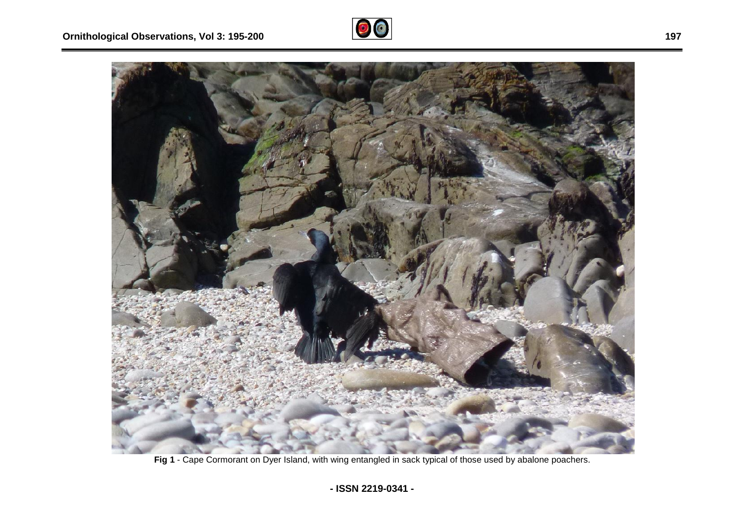



**Fig 1** - Cape Cormorant on Dyer Island, with wing entangled in sack typical of those used by abalone poachers.

**- ISSN 2219-0341 -**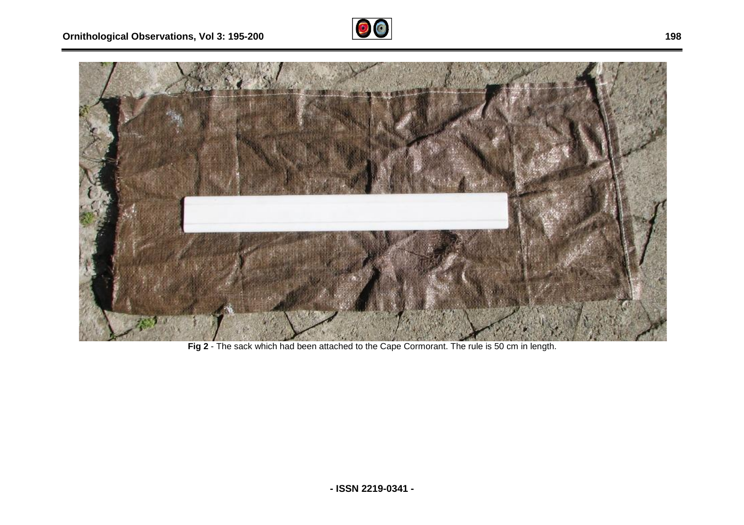



**Fig 2** - The sack which had been attached to the Cape Cormorant. The rule is 50 cm in length.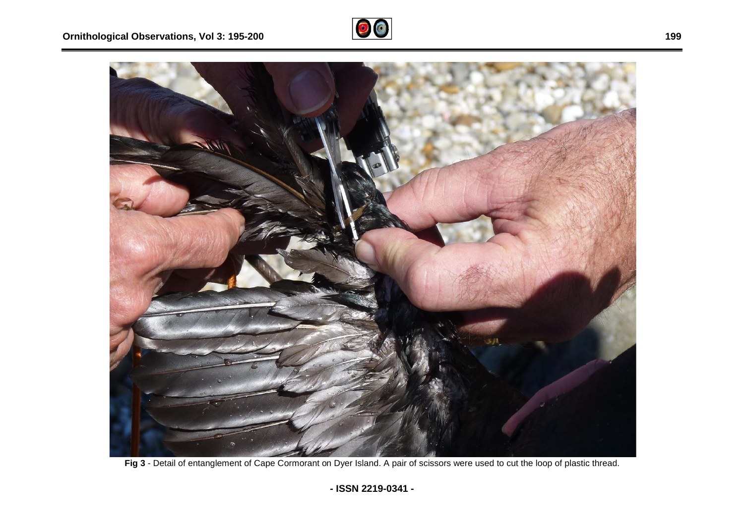



Fig 3 - Detail of entanglement of Cape Cormorant on Dyer Island. A pair of scissors were used to cut the loop of plastic thread.

**199**